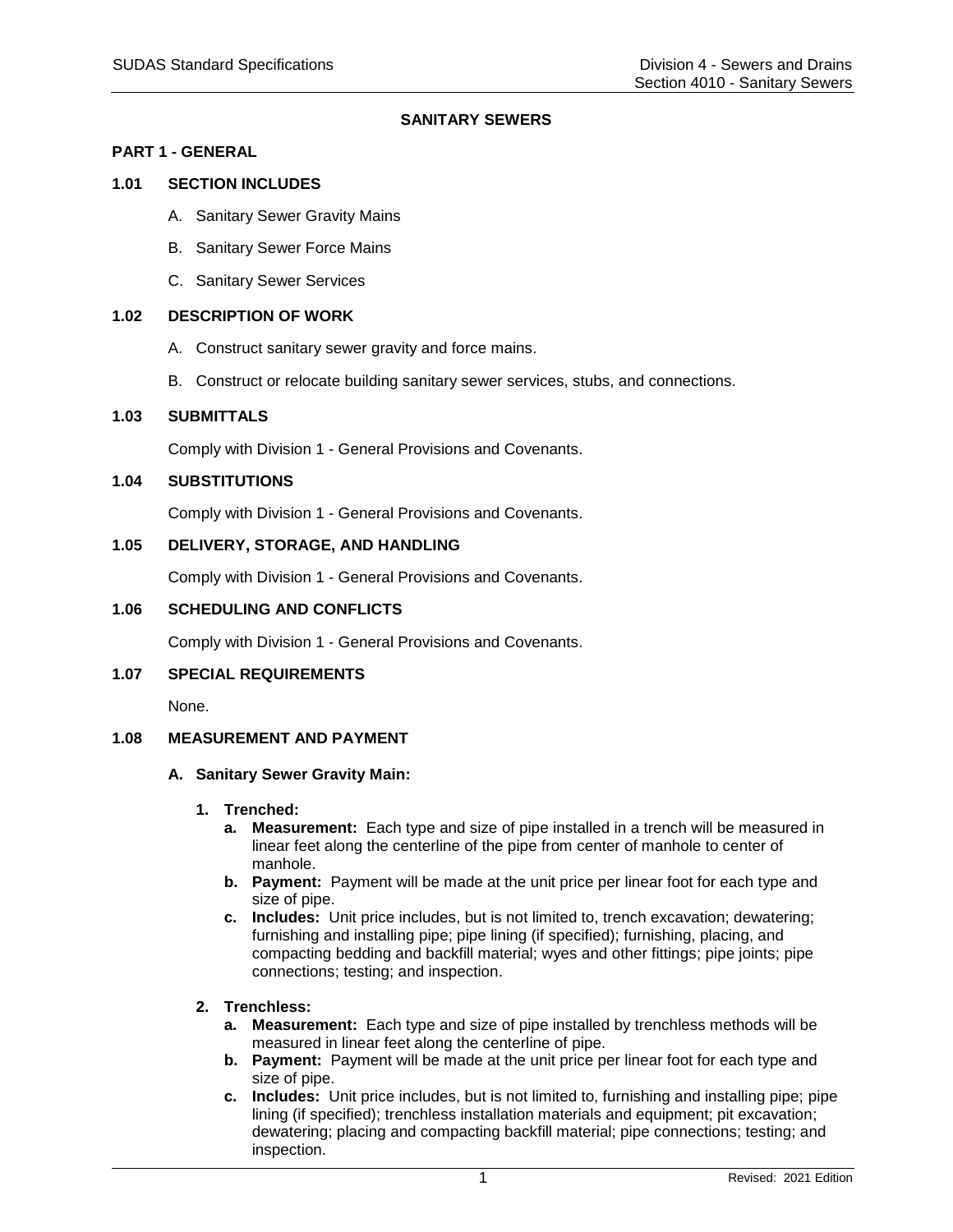# **SANITARY SEWERS**

#### **PART 1 - GENERAL**

### **1.01 SECTION INCLUDES**

- A. Sanitary Sewer Gravity Mains
- B. Sanitary Sewer Force Mains
- C. Sanitary Sewer Services

#### **1.02 DESCRIPTION OF WORK**

- A. Construct sanitary sewer gravity and force mains.
- B. Construct or relocate building sanitary sewer services, stubs, and connections.

#### **1.03 SUBMITTALS**

Comply with Division 1 - General Provisions and Covenants.

### **1.04 SUBSTITUTIONS**

Comply with Division 1 - General Provisions and Covenants.

#### **1.05 DELIVERY, STORAGE, AND HANDLING**

Comply with Division 1 - General Provisions and Covenants.

### **1.06 SCHEDULING AND CONFLICTS**

Comply with Division 1 - General Provisions and Covenants.

#### **1.07 SPECIAL REQUIREMENTS**

None.

# **1.08 MEASUREMENT AND PAYMENT**

#### **A. Sanitary Sewer Gravity Main:**

#### **1. Trenched:**

- **a. Measurement:** Each type and size of pipe installed in a trench will be measured in linear feet along the centerline of the pipe from center of manhole to center of manhole.
- **b. Payment:** Payment will be made at the unit price per linear foot for each type and size of pipe.
- **c. Includes:** Unit price includes, but is not limited to, trench excavation; dewatering; furnishing and installing pipe; pipe lining (if specified); furnishing, placing, and compacting bedding and backfill material; wyes and other fittings; pipe joints; pipe connections; testing; and inspection.

### **2. Trenchless:**

- **a. Measurement:** Each type and size of pipe installed by trenchless methods will be measured in linear feet along the centerline of pipe.
- **b. Payment:** Payment will be made at the unit price per linear foot for each type and size of pipe.
- **c. Includes:** Unit price includes, but is not limited to, furnishing and installing pipe; pipe lining (if specified); trenchless installation materials and equipment; pit excavation; dewatering; placing and compacting backfill material; pipe connections; testing; and inspection.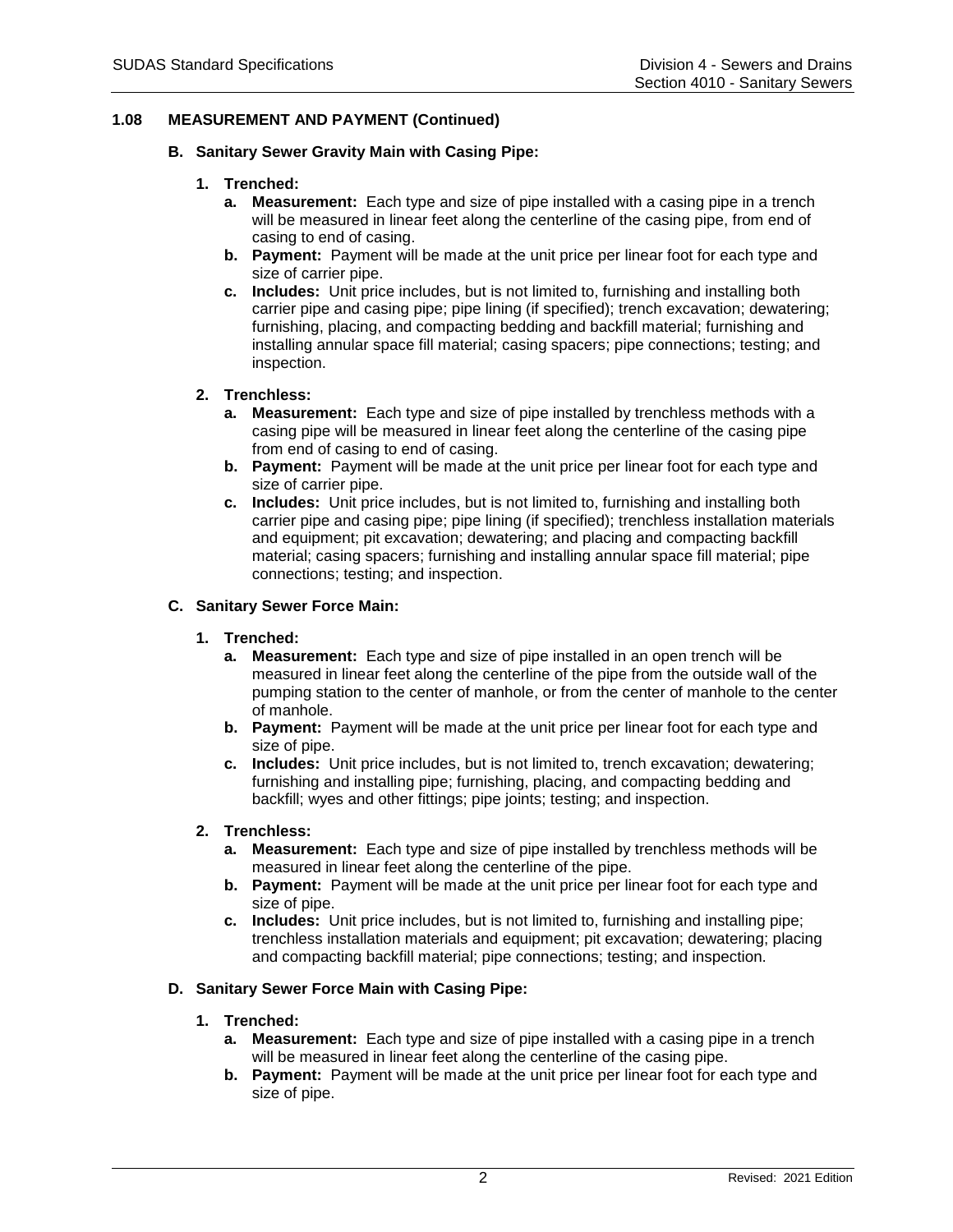# **1.08 MEASUREMENT AND PAYMENT (Continued)**

## **B. Sanitary Sewer Gravity Main with Casing Pipe:**

- **1. Trenched:**
	- **a. Measurement:** Each type and size of pipe installed with a casing pipe in a trench will be measured in linear feet along the centerline of the casing pipe, from end of casing to end of casing.
	- **b. Payment:** Payment will be made at the unit price per linear foot for each type and size of carrier pipe.
	- **c. Includes:** Unit price includes, but is not limited to, furnishing and installing both carrier pipe and casing pipe; pipe lining (if specified); trench excavation; dewatering; furnishing, placing, and compacting bedding and backfill material; furnishing and installing annular space fill material; casing spacers; pipe connections; testing; and inspection.

## **2. Trenchless:**

- **a. Measurement:** Each type and size of pipe installed by trenchless methods with a casing pipe will be measured in linear feet along the centerline of the casing pipe from end of casing to end of casing.
- **b. Payment:** Payment will be made at the unit price per linear foot for each type and size of carrier pipe.
- **c. Includes:** Unit price includes, but is not limited to, furnishing and installing both carrier pipe and casing pipe; pipe lining (if specified); trenchless installation materials and equipment; pit excavation; dewatering; and placing and compacting backfill material; casing spacers; furnishing and installing annular space fill material; pipe connections; testing; and inspection.

## **C. Sanitary Sewer Force Main:**

# **1. Trenched:**

- **a. Measurement:** Each type and size of pipe installed in an open trench will be measured in linear feet along the centerline of the pipe from the outside wall of the pumping station to the center of manhole, or from the center of manhole to the center of manhole.
- **b. Payment:** Payment will be made at the unit price per linear foot for each type and size of pipe.
- **c. Includes:** Unit price includes, but is not limited to, trench excavation; dewatering; furnishing and installing pipe; furnishing, placing, and compacting bedding and backfill; wyes and other fittings; pipe joints; testing; and inspection.

# **2. Trenchless:**

- **a. Measurement:** Each type and size of pipe installed by trenchless methods will be measured in linear feet along the centerline of the pipe.
- **b. Payment:** Payment will be made at the unit price per linear foot for each type and size of pipe.
- **c. Includes:** Unit price includes, but is not limited to, furnishing and installing pipe; trenchless installation materials and equipment; pit excavation; dewatering; placing and compacting backfill material; pipe connections; testing; and inspection.

### **D. Sanitary Sewer Force Main with Casing Pipe:**

### **1. Trenched:**

- **a. Measurement:** Each type and size of pipe installed with a casing pipe in a trench will be measured in linear feet along the centerline of the casing pipe.
- **b. Payment:** Payment will be made at the unit price per linear foot for each type and size of pipe.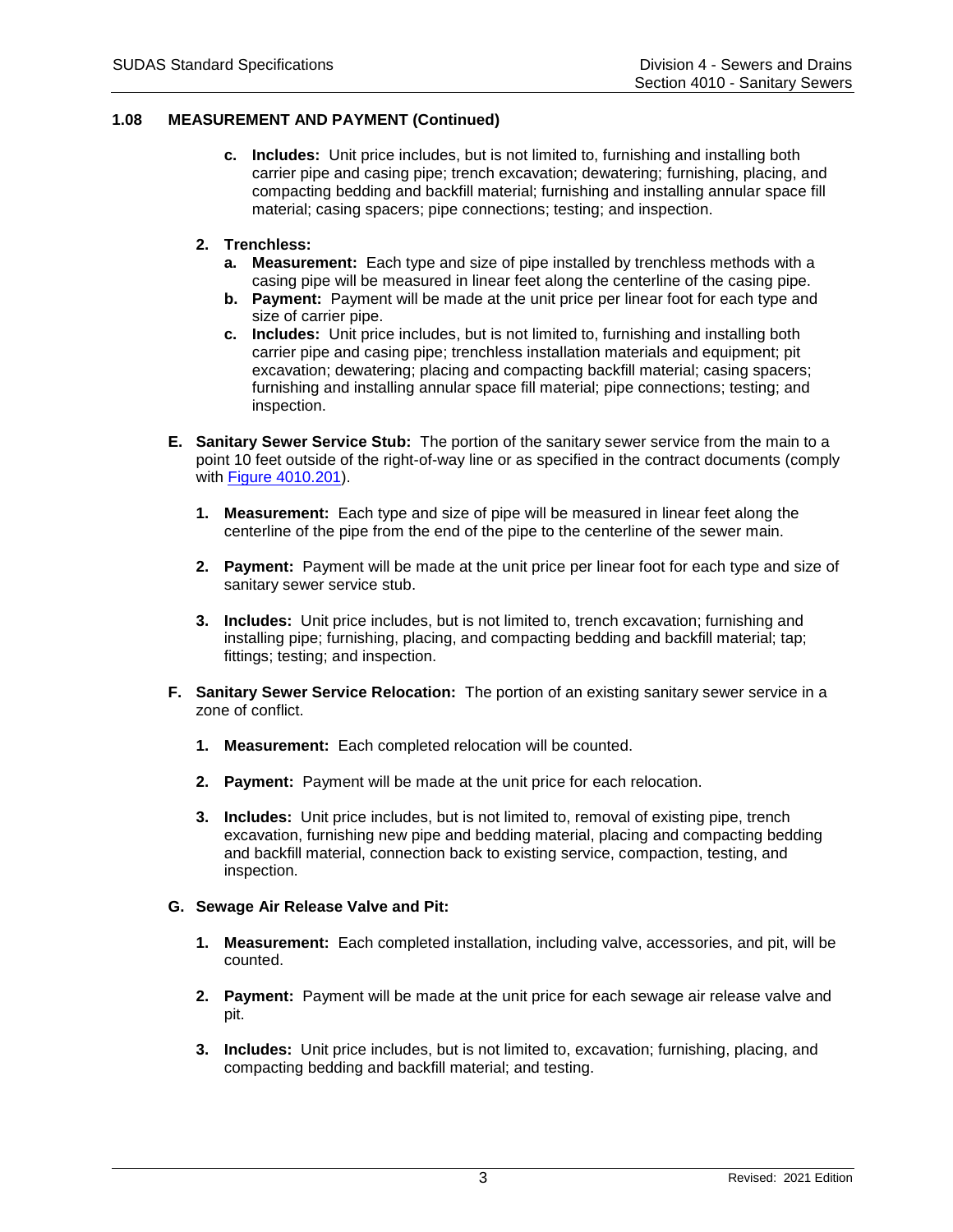# **1.08 MEASUREMENT AND PAYMENT (Continued)**

**c. Includes:** Unit price includes, but is not limited to, furnishing and installing both carrier pipe and casing pipe; trench excavation; dewatering; furnishing, placing, and compacting bedding and backfill material; furnishing and installing annular space fill material; casing spacers; pipe connections; testing; and inspection.

### **2. Trenchless:**

- **a. Measurement:** Each type and size of pipe installed by trenchless methods with a casing pipe will be measured in linear feet along the centerline of the casing pipe.
- **b. Payment:** Payment will be made at the unit price per linear foot for each type and size of carrier pipe.
- **c. Includes:** Unit price includes, but is not limited to, furnishing and installing both carrier pipe and casing pipe; trenchless installation materials and equipment; pit excavation; dewatering; placing and compacting backfill material; casing spacers; furnishing and installing annular space fill material; pipe connections; testing; and inspection.
- **E. Sanitary Sewer Service Stub:** The portion of the sanitary sewer service from the main to a point 10 feet outside of the right-of-way line or as specified in the contract documents (comply with [Figure 4010.201\)](https://intrans.iastate.edu/app/uploads/sites/15/2020/02/4010_201.pdf).
	- **1. Measurement:** Each type and size of pipe will be measured in linear feet along the centerline of the pipe from the end of the pipe to the centerline of the sewer main.
	- **2. Payment:** Payment will be made at the unit price per linear foot for each type and size of sanitary sewer service stub.
	- **3. Includes:** Unit price includes, but is not limited to, trench excavation; furnishing and installing pipe; furnishing, placing, and compacting bedding and backfill material; tap; fittings; testing; and inspection.
- **F. Sanitary Sewer Service Relocation:** The portion of an existing sanitary sewer service in a zone of conflict.
	- **1. Measurement:** Each completed relocation will be counted.
	- **2. Payment:** Payment will be made at the unit price for each relocation.
	- **3. Includes:** Unit price includes, but is not limited to, removal of existing pipe, trench excavation, furnishing new pipe and bedding material, placing and compacting bedding and backfill material, connection back to existing service, compaction, testing, and inspection.

### **G. Sewage Air Release Valve and Pit:**

- **1. Measurement:** Each completed installation, including valve, accessories, and pit, will be counted.
- **2. Payment:** Payment will be made at the unit price for each sewage air release valve and pit.
- **3. Includes:** Unit price includes, but is not limited to, excavation; furnishing, placing, and compacting bedding and backfill material; and testing.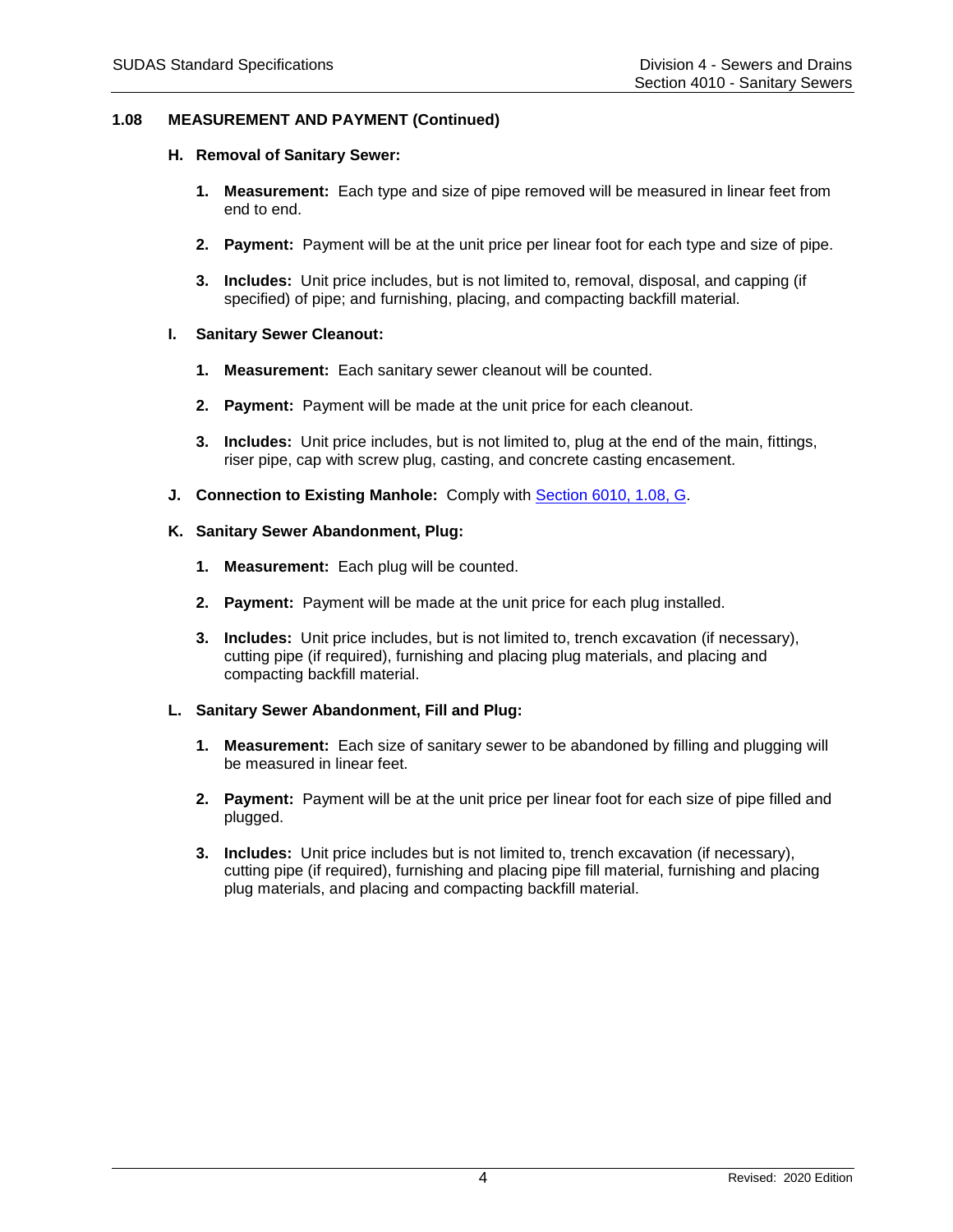# **1.08 MEASUREMENT AND PAYMENT (Continued)**

### **H. Removal of Sanitary Sewer:**

- **1. Measurement:** Each type and size of pipe removed will be measured in linear feet from end to end.
- **2. Payment:** Payment will be at the unit price per linear foot for each type and size of pipe.
- **3. Includes:** Unit price includes, but is not limited to, removal, disposal, and capping (if specified) of pipe; and furnishing, placing, and compacting backfill material.

### **I. Sanitary Sewer Cleanout:**

- **1. Measurement:** Each sanitary sewer cleanout will be counted.
- **2. Payment:** Payment will be made at the unit price for each cleanout.
- **3. Includes:** Unit price includes, but is not limited to, plug at the end of the main, fittings, riser pipe, cap with screw plug, casting, and concrete casting encasement.
- **J.** Connection to Existing Manhole: Comply with [Section 6010, 1.08, G.](https://intrans.iastate.edu/app/uploads/sites/15/2020/02/6010.pdf#page=3)

## **K. Sanitary Sewer Abandonment, Plug:**

- **1. Measurement:** Each plug will be counted.
- **2. Payment:** Payment will be made at the unit price for each plug installed.
- **3. Includes:** Unit price includes, but is not limited to, trench excavation (if necessary), cutting pipe (if required), furnishing and placing plug materials, and placing and compacting backfill material.

# **L. Sanitary Sewer Abandonment, Fill and Plug:**

- **1. Measurement:** Each size of sanitary sewer to be abandoned by filling and plugging will be measured in linear feet.
- **2. Payment:** Payment will be at the unit price per linear foot for each size of pipe filled and plugged.
- **3. Includes:** Unit price includes but is not limited to, trench excavation (if necessary), cutting pipe (if required), furnishing and placing pipe fill material, furnishing and placing plug materials, and placing and compacting backfill material.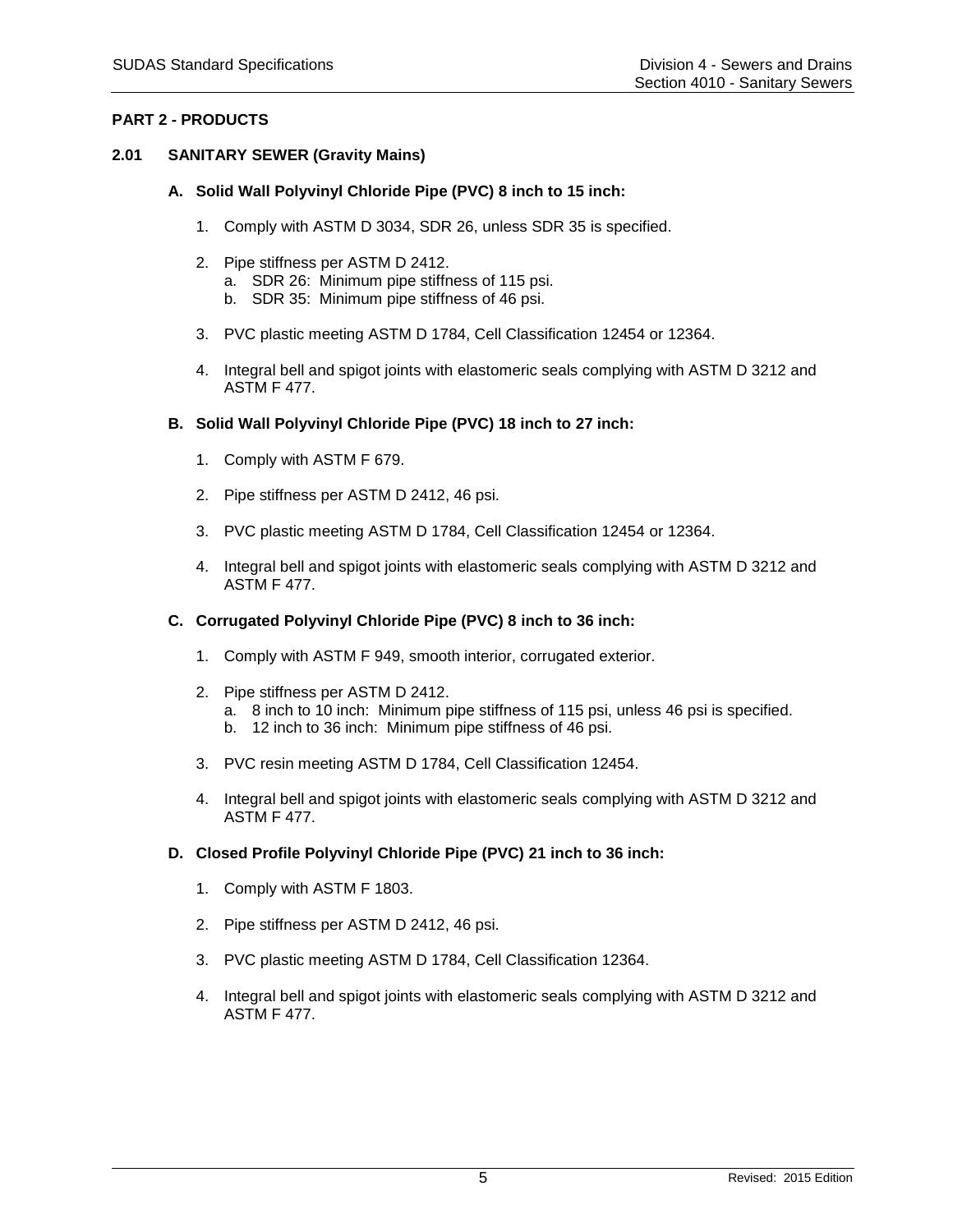# **PART 2 - PRODUCTS**

## **2.01 SANITARY SEWER (Gravity Mains)**

## **A. Solid Wall Polyvinyl Chloride Pipe (PVC) 8 inch to 15 inch:**

- 1. Comply with ASTM D 3034, SDR 26, unless SDR 35 is specified.
- 2. Pipe stiffness per ASTM D 2412.
	- a. SDR 26: Minimum pipe stiffness of 115 psi.
	- b. SDR 35: Minimum pipe stiffness of 46 psi.
- 3. PVC plastic meeting ASTM D 1784, Cell Classification 12454 or 12364.
- 4. Integral bell and spigot joints with elastomeric seals complying with ASTM D 3212 and ASTM F 477.

## **B. Solid Wall Polyvinyl Chloride Pipe (PVC) 18 inch to 27 inch:**

- 1. Comply with ASTM F 679.
- 2. Pipe stiffness per ASTM D 2412, 46 psi.
- 3. PVC plastic meeting ASTM D 1784, Cell Classification 12454 or 12364.
- 4. Integral bell and spigot joints with elastomeric seals complying with ASTM D 3212 and ASTM F 477.

### **C. Corrugated Polyvinyl Chloride Pipe (PVC) 8 inch to 36 inch:**

- 1. Comply with ASTM F 949, smooth interior, corrugated exterior.
- 2. Pipe stiffness per ASTM D 2412. a. 8 inch to 10 inch: Minimum pipe stiffness of 115 psi, unless 46 psi is specified. b. 12 inch to 36 inch: Minimum pipe stiffness of 46 psi.
- 3. PVC resin meeting ASTM D 1784, Cell Classification 12454.
- 4. Integral bell and spigot joints with elastomeric seals complying with ASTM D 3212 and ASTM F 477.

### **D. Closed Profile Polyvinyl Chloride Pipe (PVC) 21 inch to 36 inch:**

- 1. Comply with ASTM F 1803.
- 2. Pipe stiffness per ASTM D 2412, 46 psi.
- 3. PVC plastic meeting ASTM D 1784, Cell Classification 12364.
- 4. Integral bell and spigot joints with elastomeric seals complying with ASTM D 3212 and ASTM F 477.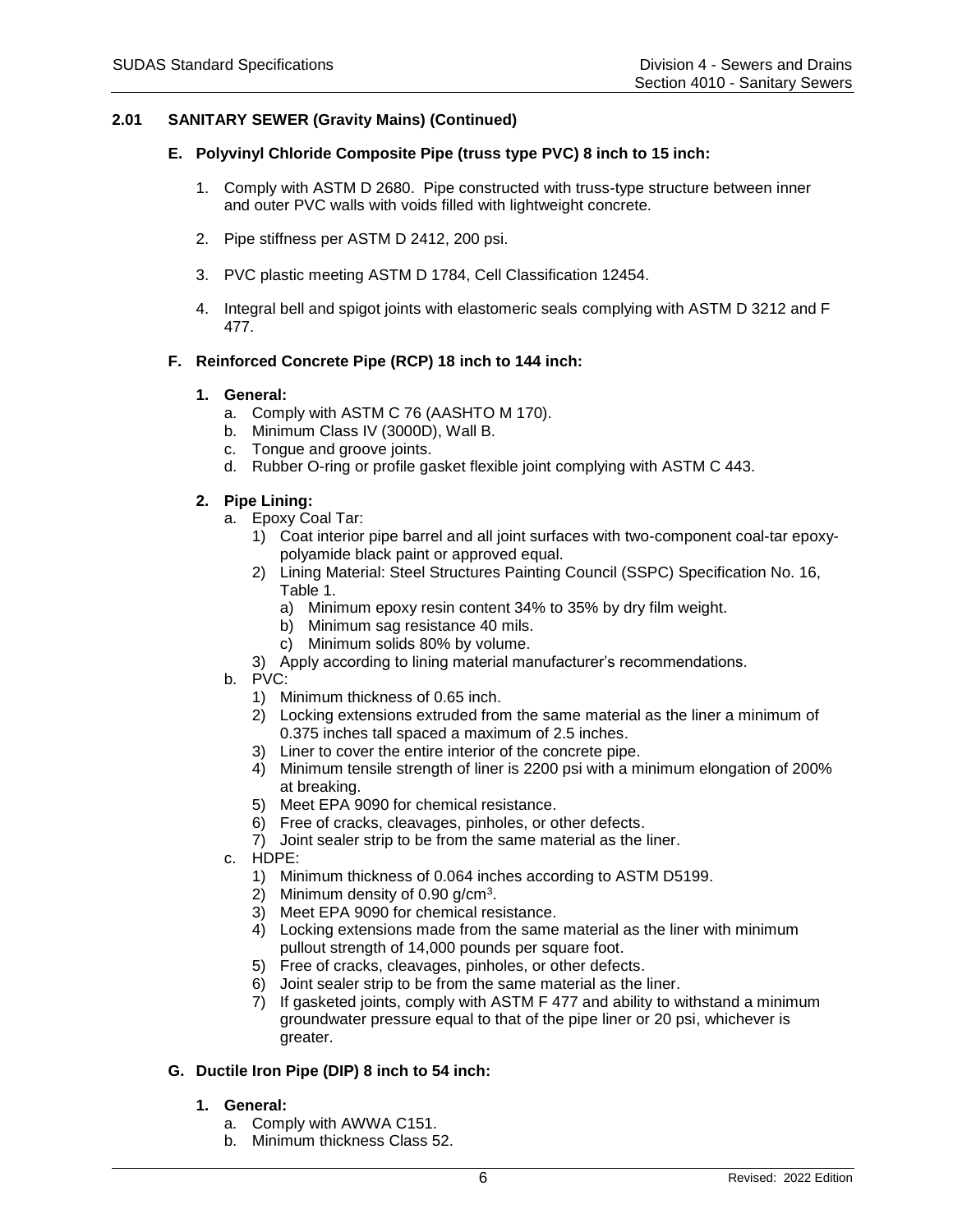## **2.01 SANITARY SEWER (Gravity Mains) (Continued)**

### **E. Polyvinyl Chloride Composite Pipe (truss type PVC) 8 inch to 15 inch:**

- 1. Comply with ASTM D 2680. Pipe constructed with truss-type structure between inner and outer PVC walls with voids filled with lightweight concrete.
- 2. Pipe stiffness per ASTM D 2412, 200 psi.
- 3. PVC plastic meeting ASTM D 1784, Cell Classification 12454.
- 4. Integral bell and spigot joints with elastomeric seals complying with ASTM D 3212 and F 477.

### **F. Reinforced Concrete Pipe (RCP) 18 inch to 144 inch:**

### **1. General:**

- a. Comply with ASTM C 76 (AASHTO M 170).
- b. Minimum Class IV (3000D), Wall B.
- c. Tongue and groove joints.
- d. Rubber O-ring or profile gasket flexible joint complying with ASTM C 443.

### **2. Pipe Lining:**

- a. Epoxy Coal Tar:
	- 1) Coat interior pipe barrel and all joint surfaces with two-component coal-tar epoxypolyamide black paint or approved equal.
	- 2) Lining Material: Steel Structures Painting Council (SSPC) Specification No. 16, Table 1.
		- a) Minimum epoxy resin content 34% to 35% by dry film weight.
		- b) Minimum sag resistance 40 mils.
		- c) Minimum solids 80% by volume.
	- 3) Apply according to lining material manufacturer's recommendations.
- b. PVC:
	- 1) Minimum thickness of 0.65 inch.
	- 2) Locking extensions extruded from the same material as the liner a minimum of 0.375 inches tall spaced a maximum of 2.5 inches.
	- 3) Liner to cover the entire interior of the concrete pipe.
	- 4) Minimum tensile strength of liner is 2200 psi with a minimum elongation of 200% at breaking.
	- 5) Meet EPA 9090 for chemical resistance.
	- 6) Free of cracks, cleavages, pinholes, or other defects.
	- 7) Joint sealer strip to be from the same material as the liner.
- c. HDPE:
	- 1) Minimum thickness of 0.064 inches according to ASTM D5199.
	- 2) Minimum density of 0.90 g/cm<sup>3</sup>.
	- 3) Meet EPA 9090 for chemical resistance.
	- 4) Locking extensions made from the same material as the liner with minimum pullout strength of 14,000 pounds per square foot.
	- 5) Free of cracks, cleavages, pinholes, or other defects.
	- 6) Joint sealer strip to be from the same material as the liner.
	- 7) If gasketed joints, comply with ASTM F 477 and ability to withstand a minimum groundwater pressure equal to that of the pipe liner or 20 psi, whichever is greater.

### **G. Ductile Iron Pipe (DIP) 8 inch to 54 inch:**

### **1. General:**

- a. Comply with AWWA C151.
- b. Minimum thickness Class 52.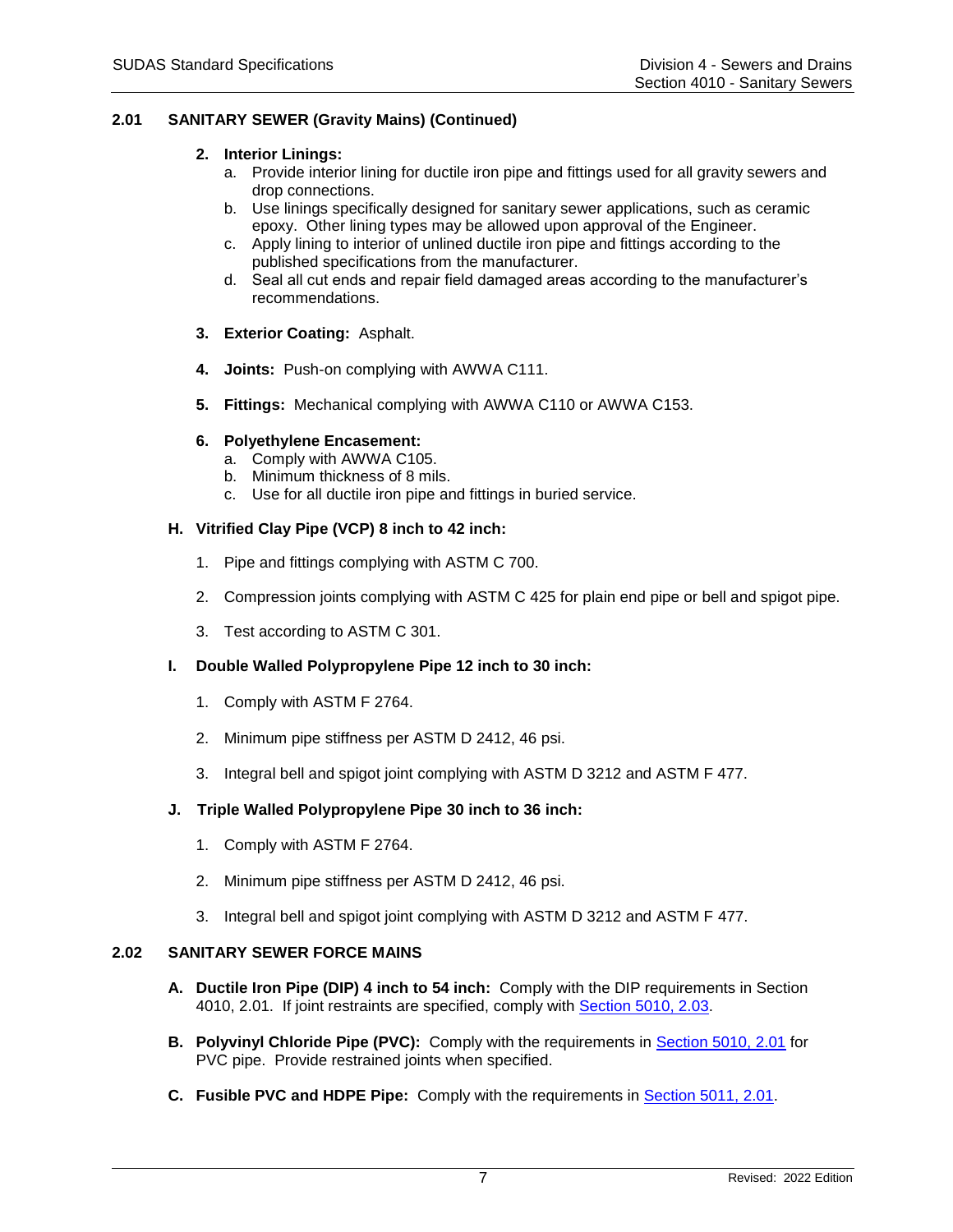# **2.01 SANITARY SEWER (Gravity Mains) (Continued)**

## **2. Interior Linings:**

- a. Provide interior lining for ductile iron pipe and fittings used for all gravity sewers and drop connections.
- b. Use linings specifically designed for sanitary sewer applications, such as ceramic epoxy. Other lining types may be allowed upon approval of the Engineer.
- c. Apply lining to interior of unlined ductile iron pipe and fittings according to the published specifications from the manufacturer.
- d. Seal all cut ends and repair field damaged areas according to the manufacturer's recommendations.
- **3. Exterior Coating:** Asphalt.
- **4. Joints:** Push-on complying with AWWA C111.
- **5. Fittings:** Mechanical complying with AWWA C110 or AWWA C153.

### **6. Polyethylene Encasement:**

- a. Comply with AWWA C105.
- b. Minimum thickness of 8 mils.
- c. Use for all ductile iron pipe and fittings in buried service.

### **H. Vitrified Clay Pipe (VCP) 8 inch to 42 inch:**

- 1. Pipe and fittings complying with ASTM C 700.
- 2. Compression joints complying with ASTM C 425 for plain end pipe or bell and spigot pipe.
- 3. Test according to ASTM C 301.

## **I. Double Walled Polypropylene Pipe 12 inch to 30 inch:**

- 1. Comply with ASTM F 2764.
- 2. Minimum pipe stiffness per ASTM D 2412, 46 psi.
- 3. Integral bell and spigot joint complying with ASTM D 3212 and ASTM F 477.

### **J. Triple Walled Polypropylene Pipe 30 inch to 36 inch:**

- 1. Comply with ASTM F 2764.
- 2. Minimum pipe stiffness per ASTM D 2412, 46 psi.
- 3. Integral bell and spigot joint complying with ASTM D 3212 and ASTM F 477.

## **2.02 SANITARY SEWER FORCE MAINS**

- **A. Ductile Iron Pipe (DIP) 4 inch to 54 inch:** Comply with the DIP requirements in Section 4010, 2.01. If joint restraints are specified, comply with [Section 5010, 2.03.](https://intrans.iastate.edu/app/uploads/sites/15/2020/02/5010.pdf#page=5)
- **B. Polyvinyl Chloride Pipe (PVC):** Comply with the requirements in [Section 5010, 2.01](https://intrans.iastate.edu/app/uploads/sites/15/2020/02/5010.pdf#page=4) for PVC pipe. Provide restrained joints when specified.
- **C. Fusible PVC and HDPE Pipe:** Comply with the requirements in [Section 5011, 2.01.](https://intrans.iastate.edu/app/uploads/sites/15/2021/11/5011.pdf#page=4)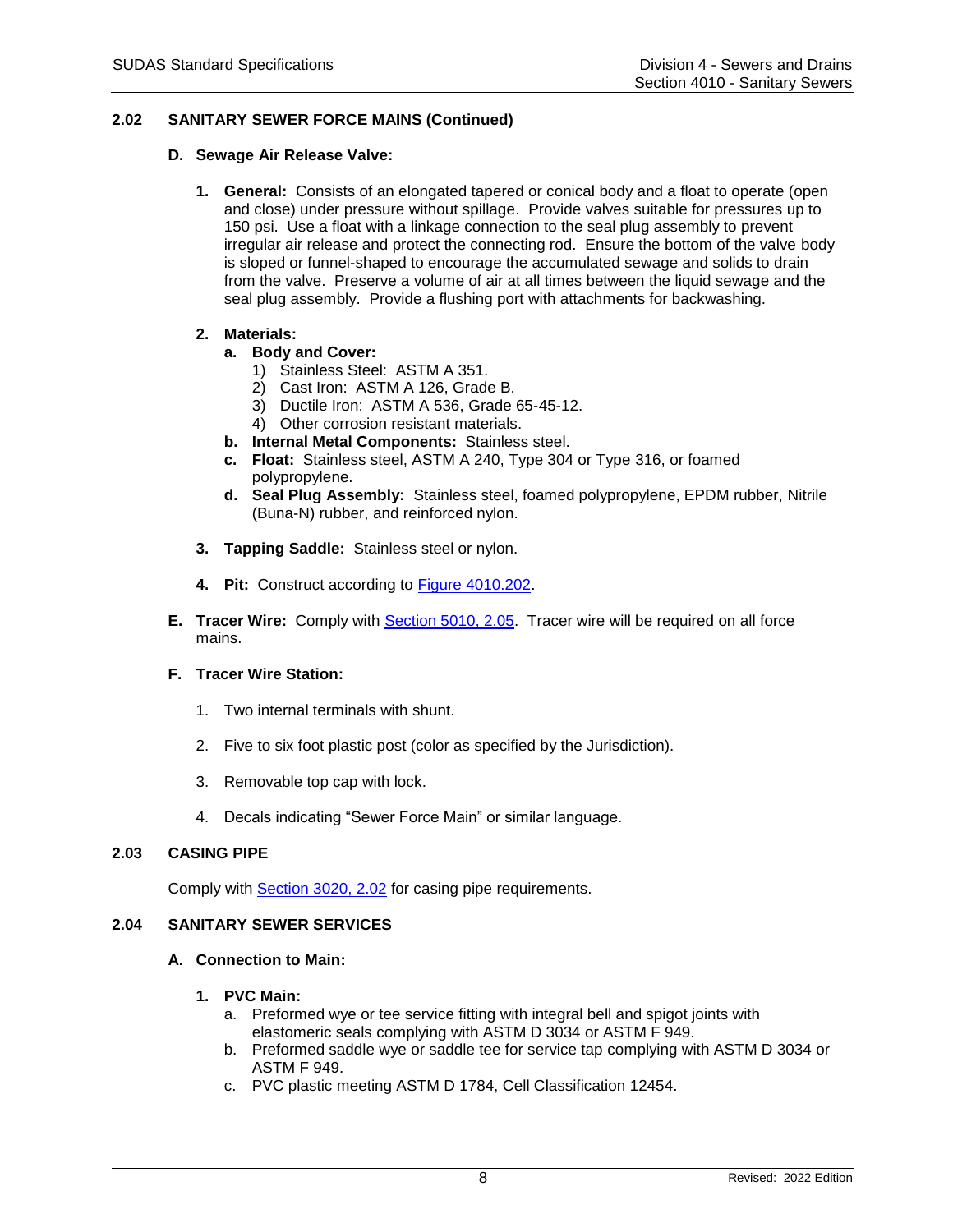# **2.02 SANITARY SEWER FORCE MAINS (Continued)**

### **D. Sewage Air Release Valve:**

**1. General:** Consists of an elongated tapered or conical body and a float to operate (open and close) under pressure without spillage. Provide valves suitable for pressures up to 150 psi. Use a float with a linkage connection to the seal plug assembly to prevent irregular air release and protect the connecting rod. Ensure the bottom of the valve body is sloped or funnel-shaped to encourage the accumulated sewage and solids to drain from the valve. Preserve a volume of air at all times between the liquid sewage and the seal plug assembly. Provide a flushing port with attachments for backwashing.

## **2. Materials:**

- **a. Body and Cover:**
	- 1) Stainless Steel: ASTM A 351.
	- 2) Cast Iron: ASTM A 126, Grade B.
	- 3) Ductile Iron: ASTM A 536, Grade 65-45-12.
	- 4) Other corrosion resistant materials.
- **b. Internal Metal Components:** Stainless steel.
- **c. Float:** Stainless steel, ASTM A 240, Type 304 or Type 316, or foamed polypropylene.
- **d. Seal Plug Assembly:** Stainless steel, foamed polypropylene, EPDM rubber, Nitrile (Buna-N) rubber, and reinforced nylon.
- **3. Tapping Saddle:** Stainless steel or nylon.
- **4. Pit:** Construct according to [Figure 4010.202.](https://intrans.iastate.edu/app/uploads/sites/15/2020/02/4010_202.pdf)
- **E. Tracer Wire:** Comply with [Section 5010, 2.05.](https://intrans.iastate.edu/app/uploads/sites/15/2020/02/5010.pdf#page=6) Tracer wire will be required on all force mains.

### **F. Tracer Wire Station:**

- 1. Two internal terminals with shunt.
- 2. Five to six foot plastic post (color as specified by the Jurisdiction).
- 3. Removable top cap with lock.
- 4. Decals indicating "Sewer Force Main" or similar language.

### **2.03 CASING PIPE**

Comply with [Section 3020, 2.02](https://intrans.iastate.edu/app/uploads/sites/15/2020/02/3020.pdf#page=2) for casing pipe requirements.

### **2.04 SANITARY SEWER SERVICES**

### **A. Connection to Main:**

### **1. PVC Main:**

- a. Preformed wye or tee service fitting with integral bell and spigot joints with elastomeric seals complying with ASTM D 3034 or ASTM F 949.
- b. Preformed saddle wye or saddle tee for service tap complying with ASTM D 3034 or ASTM F 949.
- c. PVC plastic meeting ASTM D 1784, Cell Classification 12454.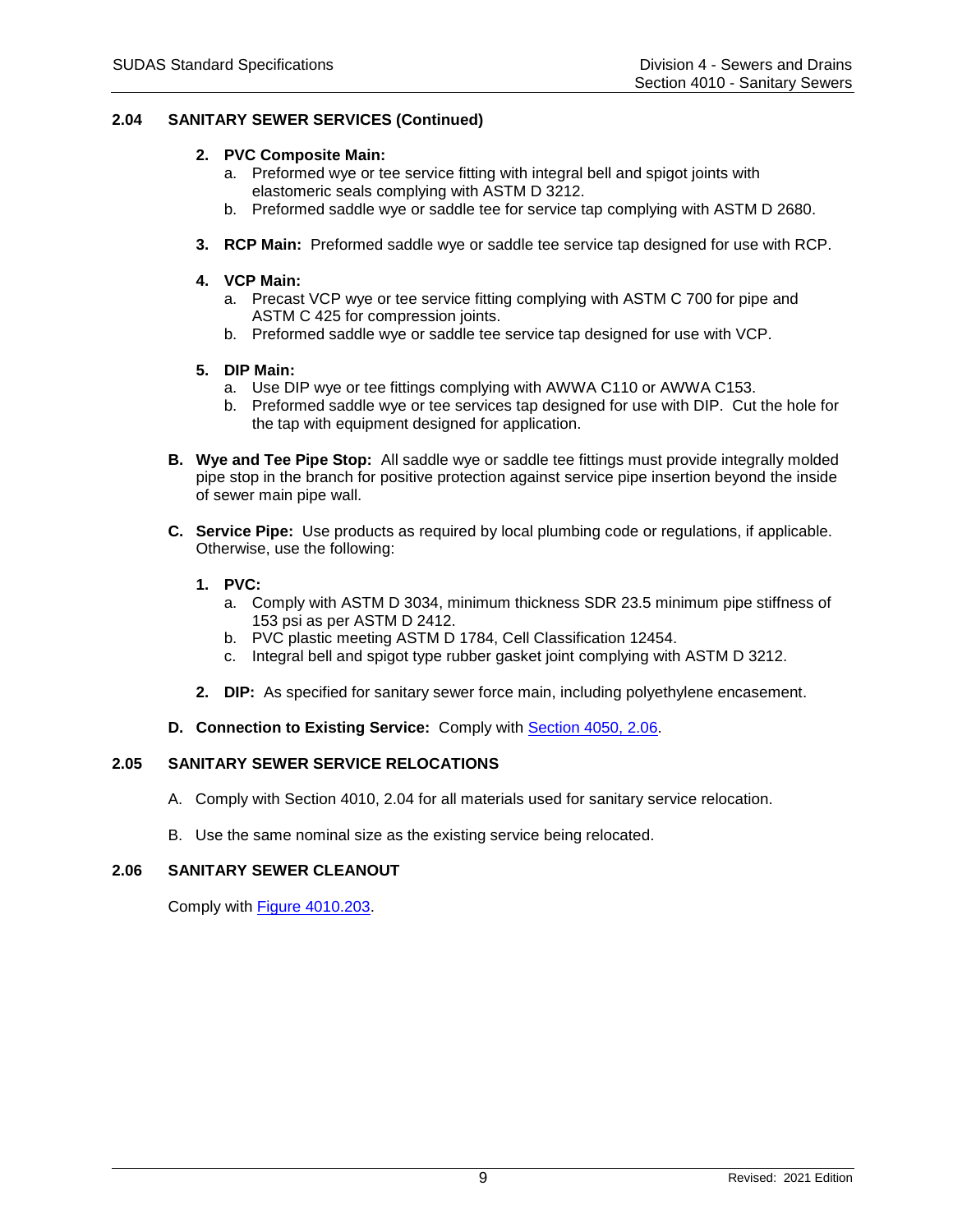# **2.04 SANITARY SEWER SERVICES (Continued)**

## **2. PVC Composite Main:**

- a. Preformed wye or tee service fitting with integral bell and spigot joints with elastomeric seals complying with ASTM D 3212.
- b. Preformed saddle wye or saddle tee for service tap complying with ASTM D 2680.
- **3. RCP Main:** Preformed saddle wye or saddle tee service tap designed for use with RCP.

## **4. VCP Main:**

- a. Precast VCP wye or tee service fitting complying with ASTM C 700 for pipe and ASTM C 425 for compression joints.
- b. Preformed saddle wye or saddle tee service tap designed for use with VCP.

## **5. DIP Main:**

- a. Use DIP wye or tee fittings complying with AWWA C110 or AWWA C153.
- b. Preformed saddle wye or tee services tap designed for use with DIP. Cut the hole for the tap with equipment designed for application.
- **B. Wye and Tee Pipe Stop:** All saddle wye or saddle tee fittings must provide integrally molded pipe stop in the branch for positive protection against service pipe insertion beyond the inside of sewer main pipe wall.
- **C. Service Pipe:** Use products as required by local plumbing code or regulations, if applicable. Otherwise, use the following:
	- **1. PVC:**
		- a. Comply with ASTM D 3034, minimum thickness SDR 23.5 minimum pipe stiffness of 153 psi as per ASTM D 2412.
		- b. PVC plastic meeting ASTM D 1784, Cell Classification 12454.
		- c. Integral bell and spigot type rubber gasket joint complying with ASTM D 3212.
	- **2. DIP:** As specified for sanitary sewer force main, including polyethylene encasement.

## **D. Connection to Existing Service:** Comply with [Section 4050, 2.06.](https://intrans.iastate.edu/app/uploads/sites/15/2020/02/4050.pdf#page=11)

## **2.05 SANITARY SEWER SERVICE RELOCATIONS**

- A. Comply with Section 4010, 2.04 for all materials used for sanitary service relocation.
- B. Use the same nominal size as the existing service being relocated.

### **2.06 SANITARY SEWER CLEANOUT**

Comply with [Figure 4010.203.](https://intrans.iastate.edu/app/uploads/sites/15/2020/02/4010_203.pdf)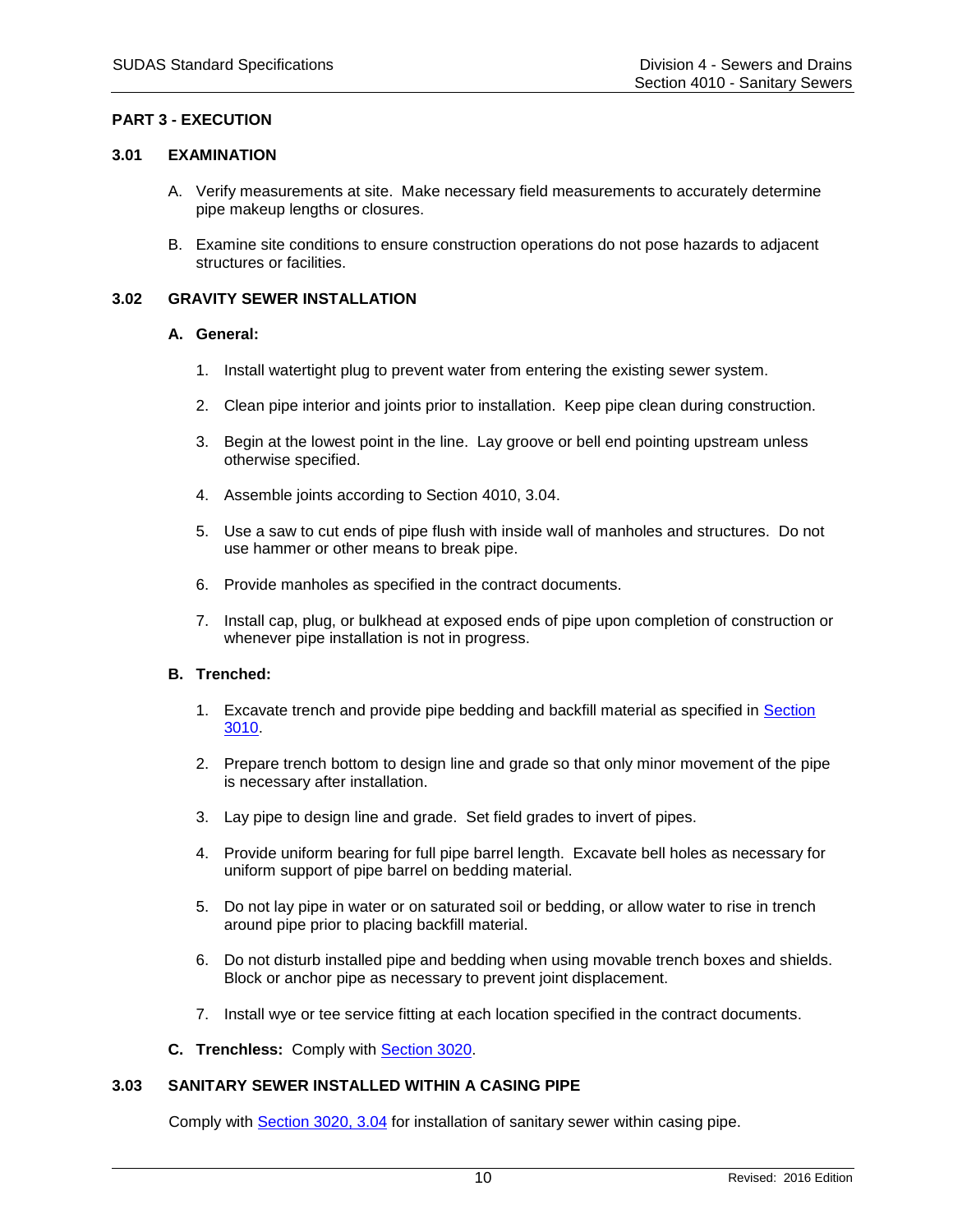## **PART 3 - EXECUTION**

#### **3.01 EXAMINATION**

- A. Verify measurements at site. Make necessary field measurements to accurately determine pipe makeup lengths or closures.
- B. Examine site conditions to ensure construction operations do not pose hazards to adjacent structures or facilities.

### **3.02 GRAVITY SEWER INSTALLATION**

#### **A. General:**

- 1. Install watertight plug to prevent water from entering the existing sewer system.
- 2. Clean pipe interior and joints prior to installation. Keep pipe clean during construction.
- 3. Begin at the lowest point in the line. Lay groove or bell end pointing upstream unless otherwise specified.
- 4. Assemble joints according to Section 4010, 3.04.
- 5. Use a saw to cut ends of pipe flush with inside wall of manholes and structures. Do not use hammer or other means to break pipe.
- 6. Provide manholes as specified in the contract documents.
- 7. Install cap, plug, or bulkhead at exposed ends of pipe upon completion of construction or whenever pipe installation is not in progress.

### **B. Trenched:**

- 1. Excavate trench and provide pipe bedding and backfill material as specified in Section [3010.](https://intrans.iastate.edu/app/uploads/sites/15/2020/02/3010.pdf)
- 2. Prepare trench bottom to design line and grade so that only minor movement of the pipe is necessary after installation.
- 3. Lay pipe to design line and grade. Set field grades to invert of pipes.
- 4. Provide uniform bearing for full pipe barrel length. Excavate bell holes as necessary for uniform support of pipe barrel on bedding material.
- 5. Do not lay pipe in water or on saturated soil or bedding, or allow water to rise in trench around pipe prior to placing backfill material.
- 6. Do not disturb installed pipe and bedding when using movable trench boxes and shields. Block or anchor pipe as necessary to prevent joint displacement.
- 7. Install wye or tee service fitting at each location specified in the contract documents.
- **C. Trenchless:** Comply with [Section 3020.](https://intrans.iastate.edu/app/uploads/sites/15/2020/02/3020.pdf)

### **3.03 SANITARY SEWER INSTALLED WITHIN A CASING PIPE**

Comply with [Section 3020, 3.04](https://intrans.iastate.edu/app/uploads/sites/15/2020/02/3020.pdf#page=4) for installation of sanitary sewer within casing pipe.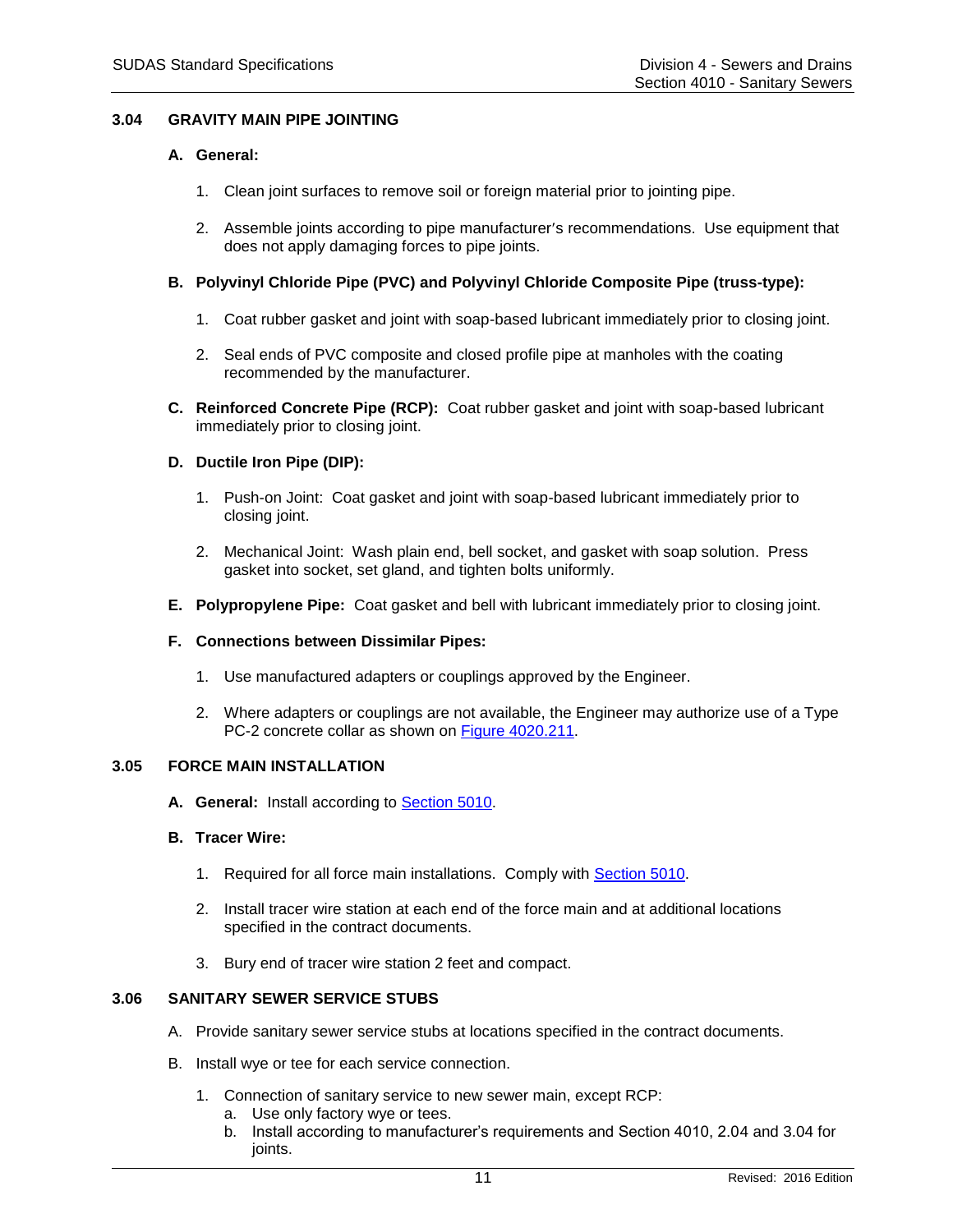## **3.04 GRAVITY MAIN PIPE JOINTING**

### **A. General:**

- 1. Clean joint surfaces to remove soil or foreign material prior to jointing pipe.
- 2. Assemble joints according to pipe manufacturer's recommendations. Use equipment that does not apply damaging forces to pipe joints.

### **B. Polyvinyl Chloride Pipe (PVC) and Polyvinyl Chloride Composite Pipe (truss-type):**

- 1. Coat rubber gasket and joint with soap-based lubricant immediately prior to closing joint.
- 2. Seal ends of PVC composite and closed profile pipe at manholes with the coating recommended by the manufacturer.
- **C. Reinforced Concrete Pipe (RCP):** Coat rubber gasket and joint with soap-based lubricant immediately prior to closing joint.

# **D. Ductile Iron Pipe (DIP):**

- 1. Push-on Joint: Coat gasket and joint with soap-based lubricant immediately prior to closing joint.
- 2. Mechanical Joint: Wash plain end, bell socket, and gasket with soap solution. Press gasket into socket, set gland, and tighten bolts uniformly.
- **E. Polypropylene Pipe:** Coat gasket and bell with lubricant immediately prior to closing joint.

### **F. Connections between Dissimilar Pipes:**

- 1. Use manufactured adapters or couplings approved by the Engineer.
- 2. Where adapters or couplings are not available, the Engineer may authorize use of a Type PC-2 concrete collar as shown on [Figure 4020.211.](https://intrans.iastate.edu/app/uploads/sites/15/2020/02/4020_211.pdf)

## **3.05 FORCE MAIN INSTALLATION**

**A. General:** Install according to [Section 5010.](https://intrans.iastate.edu/app/uploads/sites/15/2020/02/5010.pdf)

### **B. Tracer Wire:**

- 1. Required for all force main installations. Comply with [Section 5010.](https://intrans.iastate.edu/app/uploads/sites/15/2020/02/5010.pdf)
- 2. Install tracer wire station at each end of the force main and at additional locations specified in the contract documents.
- 3. Bury end of tracer wire station 2 feet and compact.

### **3.06 SANITARY SEWER SERVICE STUBS**

- A. Provide sanitary sewer service stubs at locations specified in the contract documents.
- B. Install wye or tee for each service connection.
	- 1. Connection of sanitary service to new sewer main, except RCP:
		- a. Use only factory wye or tees.
		- b. Install according to manufacturer's requirements and Section 4010, 2.04 and 3.04 for joints.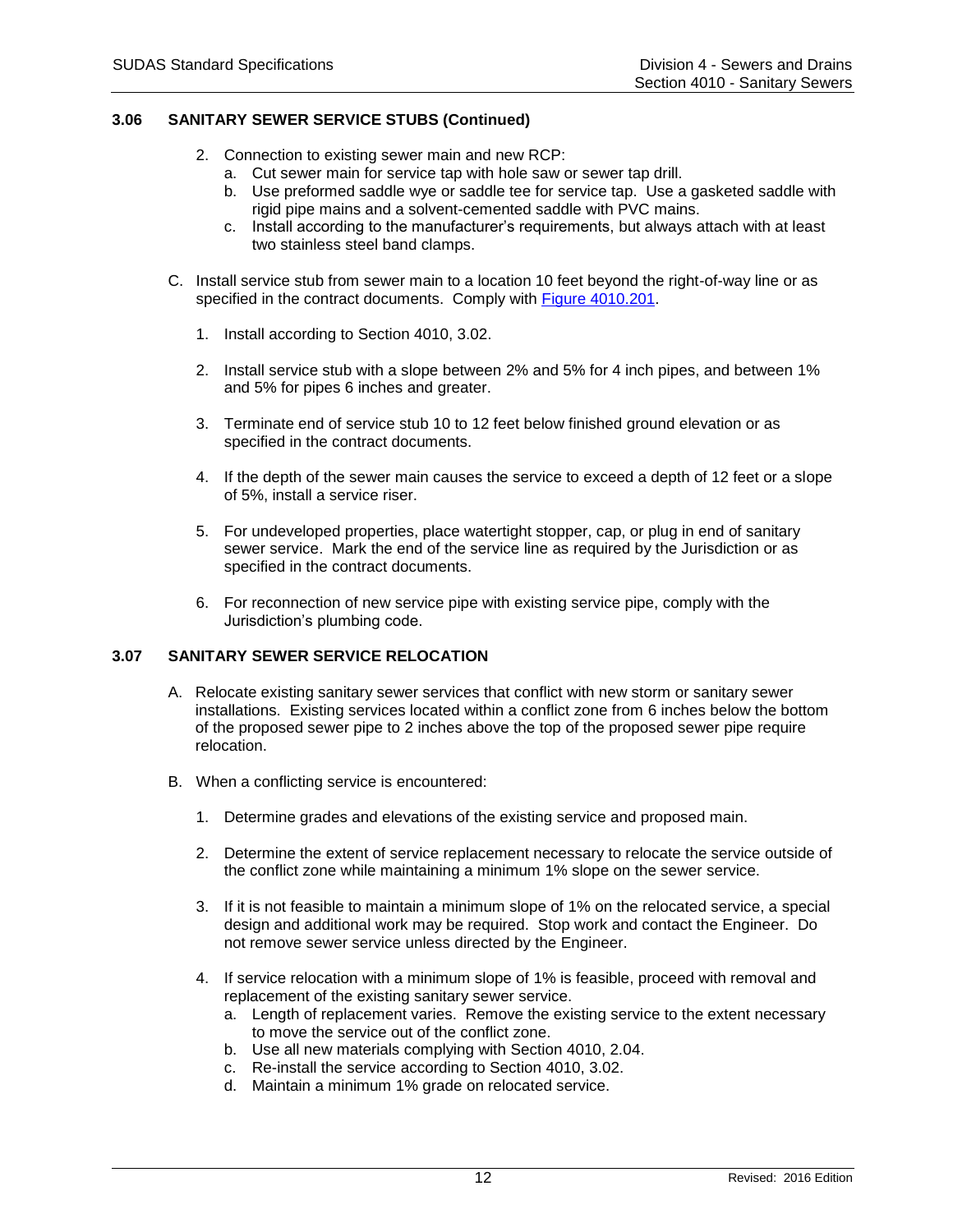# **3.06 SANITARY SEWER SERVICE STUBS (Continued)**

- 2. Connection to existing sewer main and new RCP:
	- a. Cut sewer main for service tap with hole saw or sewer tap drill.
	- b. Use preformed saddle wye or saddle tee for service tap. Use a gasketed saddle with rigid pipe mains and a solvent-cemented saddle with PVC mains.
	- c. Install according to the manufacturer's requirements, but always attach with at least two stainless steel band clamps.
- C. Install service stub from sewer main to a location 10 feet beyond the right-of-way line or as specified in the contract documents. Comply with [Figure 4010.201.](https://intrans.iastate.edu/app/uploads/sites/15/2020/02/4010_201.pdf)
	- 1. Install according to Section 4010, 3.02.
	- 2. Install service stub with a slope between 2% and 5% for 4 inch pipes, and between 1% and 5% for pipes 6 inches and greater.
	- 3. Terminate end of service stub 10 to 12 feet below finished ground elevation or as specified in the contract documents.
	- 4. If the depth of the sewer main causes the service to exceed a depth of 12 feet or a slope of 5%, install a service riser.
	- 5. For undeveloped properties, place watertight stopper, cap, or plug in end of sanitary sewer service. Mark the end of the service line as required by the Jurisdiction or as specified in the contract documents.
	- 6. For reconnection of new service pipe with existing service pipe, comply with the Jurisdiction's plumbing code.

# **3.07 SANITARY SEWER SERVICE RELOCATION**

- A. Relocate existing sanitary sewer services that conflict with new storm or sanitary sewer installations. Existing services located within a conflict zone from 6 inches below the bottom of the proposed sewer pipe to 2 inches above the top of the proposed sewer pipe require relocation.
- B. When a conflicting service is encountered:
	- 1. Determine grades and elevations of the existing service and proposed main.
	- 2. Determine the extent of service replacement necessary to relocate the service outside of the conflict zone while maintaining a minimum 1% slope on the sewer service.
	- 3. If it is not feasible to maintain a minimum slope of 1% on the relocated service, a special design and additional work may be required. Stop work and contact the Engineer. Do not remove sewer service unless directed by the Engineer.
	- 4. If service relocation with a minimum slope of 1% is feasible, proceed with removal and replacement of the existing sanitary sewer service.
		- a. Length of replacement varies. Remove the existing service to the extent necessary to move the service out of the conflict zone.
		- b. Use all new materials complying with Section 4010, 2.04.
		- c. Re-install the service according to Section 4010, 3.02.
		- d. Maintain a minimum 1% grade on relocated service.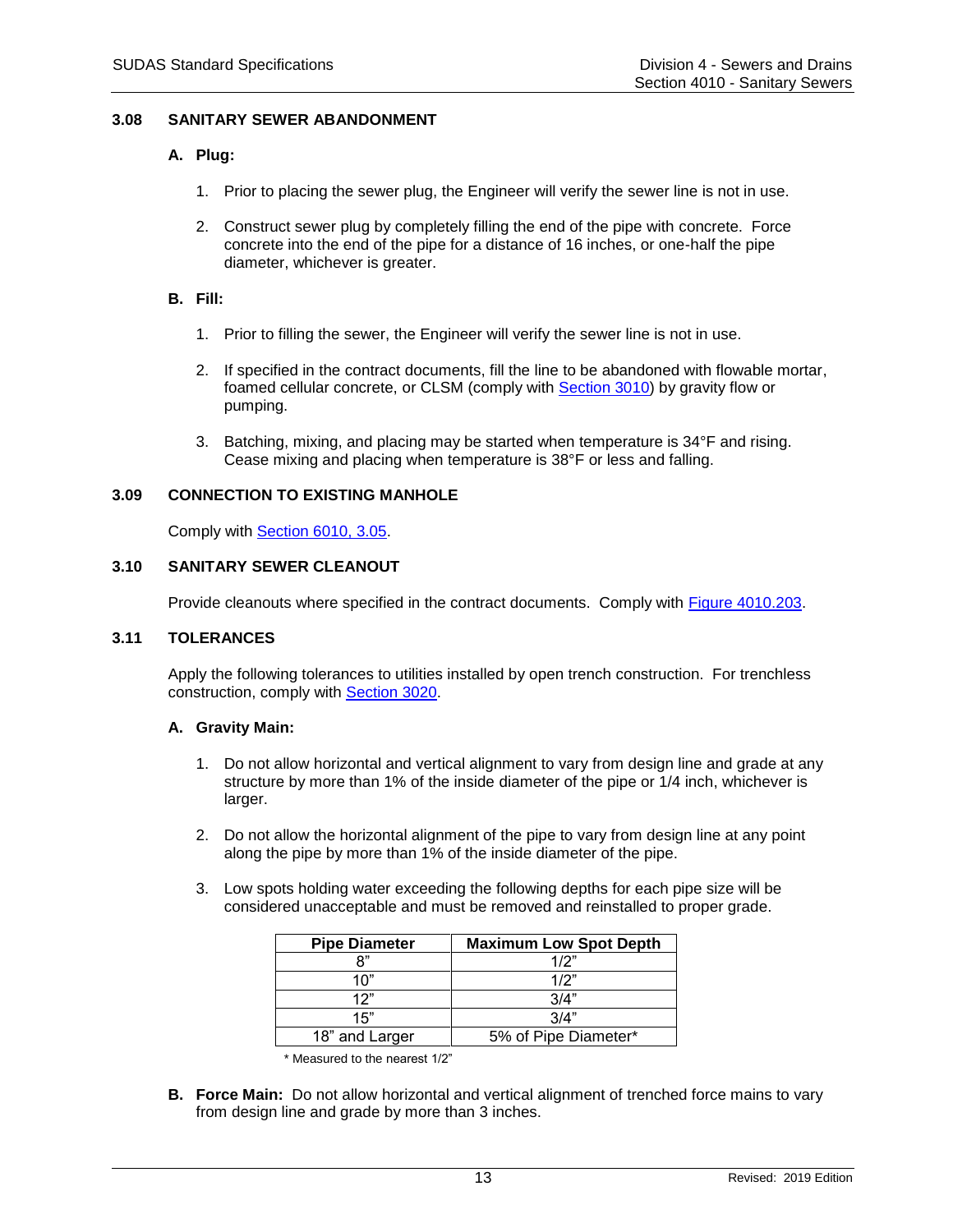## **3.08 SANITARY SEWER ABANDONMENT**

## **A. Plug:**

- 1. Prior to placing the sewer plug, the Engineer will verify the sewer line is not in use.
- 2. Construct sewer plug by completely filling the end of the pipe with concrete. Force concrete into the end of the pipe for a distance of 16 inches, or one-half the pipe diameter, whichever is greater.

## **B. Fill:**

- 1. Prior to filling the sewer, the Engineer will verify the sewer line is not in use.
- 2. If specified in the contract documents, fill the line to be abandoned with flowable mortar, foamed cellular concrete, or CLSM (comply with [Section 3010\)](https://intrans.iastate.edu/app/uploads/sites/15/2020/02/3010.pdf) by gravity flow or pumping.
- 3. Batching, mixing, and placing may be started when temperature is 34°F and rising. Cease mixing and placing when temperature is 38°F or less and falling.

### **3.09 CONNECTION TO EXISTING MANHOLE**

Comply with **Section 6010, 3.05.** 

### **3.10 SANITARY SEWER CLEANOUT**

Provide cleanouts where specified in the contract documents. Comply with [Figure 4010.203.](https://intrans.iastate.edu/app/uploads/sites/15/2020/02/4010_203.pdf)

### **3.11 TOLERANCES**

Apply the following tolerances to utilities installed by open trench construction. For trenchless construction, comply with [Section 3020.](https://intrans.iastate.edu/app/uploads/sites/15/2020/02/3020.pdf)

### **A. Gravity Main:**

- 1. Do not allow horizontal and vertical alignment to vary from design line and grade at any structure by more than 1% of the inside diameter of the pipe or 1/4 inch, whichever is larger.
- 2. Do not allow the horizontal alignment of the pipe to vary from design line at any point along the pipe by more than 1% of the inside diameter of the pipe.
- 3. Low spots holding water exceeding the following depths for each pipe size will be considered unacceptable and must be removed and reinstalled to proper grade.

| <b>Pipe Diameter</b> | <b>Maximum Low Spot Depth</b> |
|----------------------|-------------------------------|
| י8                   | 1/2"                          |
| 10"                  | 1/2"                          |
| 12"                  | 3/4"                          |
| 15"                  | 3/4"                          |
| 18" and Larger       | 5% of Pipe Diameter*          |

\* Measured to the nearest 1/2"

**B. Force Main:** Do not allow horizontal and vertical alignment of trenched force mains to vary from design line and grade by more than 3 inches.